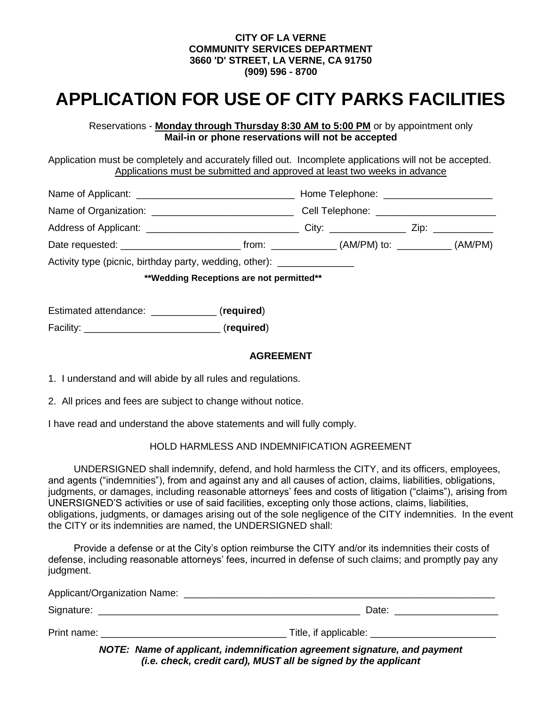#### **CITY OF LA VERNE COMMUNITY SERVICES DEPARTMENT 3660 'D' STREET, LA VERNE, CA 91750 (909) 596 - 8700**

# **APPLICATION FOR USE OF CITY PARKS FACILITIES**

Reservations - **Monday through Thursday 8:30 AM to 5:00 PM** or by appointment only **Mail-in or phone reservations will not be accepted**

Application must be completely and accurately filled out. Incomplete applications will not be accepted. Applications must be submitted and approved at least two weeks in advance

|                                                                         | Cell Telephone: ______________________ |  |  |
|-------------------------------------------------------------------------|----------------------------------------|--|--|
|                                                                         |                                        |  |  |
|                                                                         |                                        |  |  |
| Activity type (picnic, birthday party, wedding, other): _______________ |                                        |  |  |
| **Wedding Receptions are not permitted**                                |                                        |  |  |

Estimated attendance: \_\_\_\_\_\_\_\_\_\_\_\_ (**required**)

Facility: \_\_\_\_\_\_\_\_\_\_\_\_\_\_\_\_\_\_\_\_\_\_\_\_\_ (**required**)

#### **AGREEMENT**

1. I understand and will abide by all rules and regulations.

2. All prices and fees are subject to change without notice.

I have read and understand the above statements and will fully comply.

#### HOLD HARMLESS AND INDEMNIFICATION AGREEMENT

UNDERSIGNED shall indemnify, defend, and hold harmless the CITY, and its officers, employees, and agents ("indemnities"), from and against any and all causes of action, claims, liabilities, obligations, judgments, or damages, including reasonable attorneys' fees and costs of litigation ("claims"), arising from UNERSIGNED'S activities or use of said facilities, excepting only those actions, claims, liabilities, obligations, judgments, or damages arising out of the sole negligence of the CITY indemnities. In the event the CITY or its indemnities are named, the UNDERSIGNED shall:

Provide a defense or at the City's option reimburse the CITY and/or its indemnities their costs of defense, including reasonable attorneys' fees, incurred in defense of such claims; and promptly pay any judgment.

| Applicant/Organization Name: |                                                                             |
|------------------------------|-----------------------------------------------------------------------------|
| Signature:                   | Date:                                                                       |
| Print name:                  | Title, if applicable:                                                       |
|                              | $MATE:$ Name of enplicent indemnification equatoment signature, and normant |

*NOTE: Name of applicant, indemnification agreement signature, and payment (i.e. check, credit card), MUST all be signed by the applicant*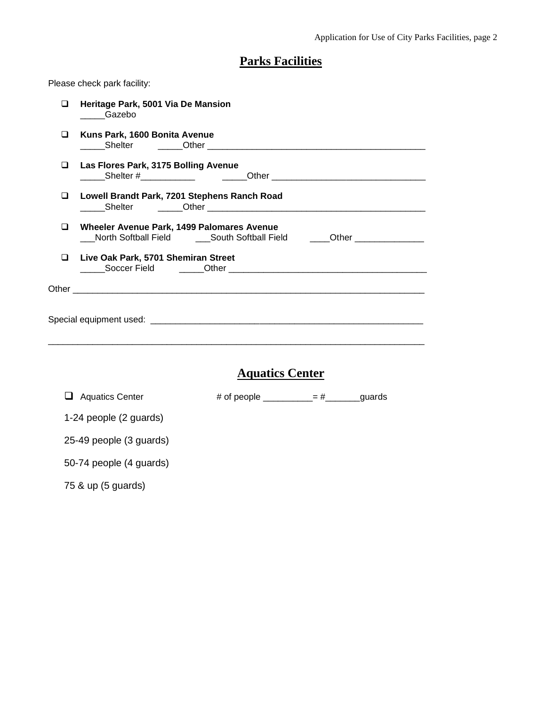## **Parks Facilities**

Please check park facility:

| ◻ | Heritage Park, 5001 Via De Mansion<br>Gazebo                                                                                  |
|---|-------------------------------------------------------------------------------------------------------------------------------|
| ◻ | Kuns Park, 1600 Bonita Avenue                                                                                                 |
| ◻ | Las Flores Park, 3175 Bolling Avenue                                                                                          |
| ◻ | Lowell Brandt Park, 7201 Stephens Ranch Road                                                                                  |
| ⊔ | Wheeler Avenue Park, 1499 Palomares Avenue<br>North Softball Field _______South Softball Field ______Other __________________ |
| ❏ | Live Oak Park, 5701 Shemiran Street                                                                                           |
|   |                                                                                                                               |
|   |                                                                                                                               |
|   |                                                                                                                               |
|   |                                                                                                                               |
|   | <b>Aquatics Center</b>                                                                                                        |
|   | # of people $=$ $\frac{+}{-}$ guards<br>$\Box$ Aquatics Center                                                                |
|   | 1-24 people (2 guards)                                                                                                        |
|   | 25-49 people (3 guards)                                                                                                       |
|   | 50-74 people (4 guards)                                                                                                       |

75 & up (5 guards)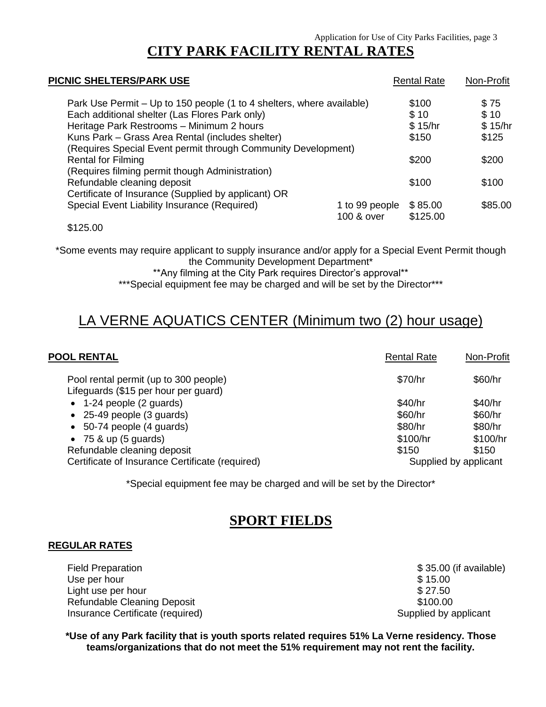# **CITY PARK FACILITY RENTAL RATES**

| PICNIC SHELTERS/PARK USE                                                     | <b>Rental Rate</b>  | Non-Profit |
|------------------------------------------------------------------------------|---------------------|------------|
| Park Use Permit - Up to 150 people (1 to 4 shelters, where available)        | \$100               | \$75       |
| Each additional shelter (Las Flores Park only)                               | \$10                | \$10       |
| Heritage Park Restrooms - Minimum 2 hours                                    | \$15/hr             | \$15/hr    |
| Kuns Park - Grass Area Rental (includes shelter)                             | \$150               | \$125      |
| (Requires Special Event permit through Community Development)                |                     |            |
| <b>Rental for Filming</b>                                                    | \$200               | \$200      |
| (Requires filming permit though Administration)                              |                     |            |
| Refundable cleaning deposit                                                  | \$100               | \$100      |
| Certificate of Insurance (Supplied by applicant) OR                          |                     |            |
| Special Event Liability Insurance (Required)<br>1 to 99 people<br>100 & over | \$85.00<br>\$125.00 | \$85.00    |
|                                                                              |                     |            |

\$125.00

\*Some events may require applicant to supply insurance and/or apply for a Special Event Permit though the Community Development Department\*

\*\*Any filming at the City Park requires Director's approval\*\*

\*\*\*Special equipment fee may be charged and will be set by the Director\*\*\*

# LA VERNE AQUATICS CENTER (Minimum two (2) hour usage)

| <b>POOL RENTAL</b>                                                            | <b>Rental Rate</b> | Non-Profit            |  |
|-------------------------------------------------------------------------------|--------------------|-----------------------|--|
| Pool rental permit (up to 300 people)<br>Lifeguards (\$15 per hour per guard) | \$70/hr            | \$60/hr               |  |
| $\bullet$ 1-24 people (2 guards)                                              | \$40/hr            | \$40/hr               |  |
| $\bullet$ 25-49 people (3 guards)                                             | \$60/hr            | \$60/hr               |  |
| $\bullet$ 50-74 people (4 guards)                                             | \$80/hr            | \$80/hr               |  |
| $\bullet$ 75 & up (5 guards)                                                  | \$100/hr           | \$100/hr              |  |
| Refundable cleaning deposit                                                   | \$150              | \$150                 |  |
| Certificate of Insurance Certificate (required)                               |                    | Supplied by applicant |  |
|                                                                               |                    |                       |  |

\*Special equipment fee may be charged and will be set by the Director\*

### **SPORT FIELDS**

#### **REGULAR RATES**

Field Preparation **by Sample 2018** and the set of the set of the set of the set of the set of the set of the set of the set of the set of the set of the set of the set of the set of the set of the set of the set of the set Use per hour \$ 15.00 Light use per hour that the set of the set of the set of the set of the set of the set of the set of the set of the set of the set of the set of the set of the set of the set of the set of the set of the set of the set of Refundable Cleaning Deposit  $$100.00$ Insurance Certificate (required) and intervention of the Supplied by applicant

**\*Use of any Park facility that is youth sports related requires 51% La Verne residency. Those teams/organizations that do not meet the 51% requirement may not rent the facility.**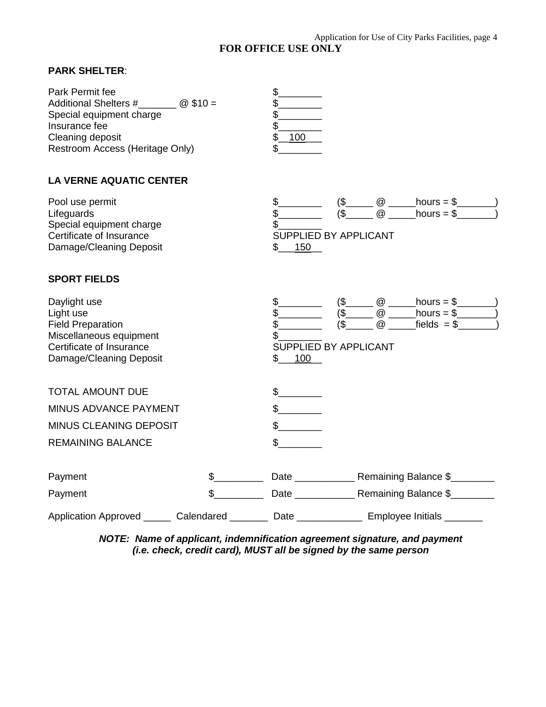### Application for Use of City Parks Facilities, page 4

**FOR OFFICE USE ONLY**

### **PARK SHELTER**:

| Park Permit fee<br>Additional Shelters #_________ @ \$10 =<br>Special equipment charge<br>Insurance fee<br>Cleaning deposit<br>Restroom Access (Heritage Only) |               | \$<br>\$<br>\$<br>\$<br>\$<br>100<br>\$ |                                                                                                                                                                                                               |
|----------------------------------------------------------------------------------------------------------------------------------------------------------------|---------------|-----------------------------------------|---------------------------------------------------------------------------------------------------------------------------------------------------------------------------------------------------------------|
| <b>LA VERNE AQUATIC CENTER</b>                                                                                                                                 |               |                                         |                                                                                                                                                                                                               |
| Pool use permit<br>Lifeguards<br>Special equipment charge<br>Certificate of Insurance<br>Damage/Cleaning Deposit                                               |               | SUPPLIED BY APPLICANT<br>$$$ 150        | $($ \$ ( $\frac{@$ ( $\frac{@}{ }$ hours = \$ ( $\frac{@}{ }$ )                                                                                                                                               |
| <b>SPORT FIELDS</b>                                                                                                                                            |               |                                         |                                                                                                                                                                                                               |
| Daylight use<br>Light use<br><b>Field Preparation</b><br>Miscellaneous equipment<br>Certificate of Insurance<br>Damage/Cleaning Deposit                        |               | SUPPLIED BY APPLICANT<br>100            | $\frac{1}{2}$ (\$ $\frac{1}{2}$ $\frac{1}{2}$ hours = \$ $\frac{1}{2}$<br>$(\$$ $@$ $\overline{\phantom{}}$ hours = \$ $\overline{\phantom{}}$<br>$($ \_ \  \  \, \, \otimes \_ \  \, \text{fields} = $ \_ \$ |
| <b>TOTAL AMOUNT DUE</b><br><b>MINUS ADVANCE PAYMENT</b><br><b>MINUS CLEANING DEPOSIT</b><br><b>REMAINING BALANCE</b>                                           |               | $\frac{1}{2}$<br>$\sim$<br>$\mathbb{S}$ |                                                                                                                                                                                                               |
| Payment<br>Payment                                                                                                                                             | $\frac{1}{2}$ |                                         | Date _____________________ Remaining Balance \$___________                                                                                                                                                    |
| Application Approved ______ Calendared ________ Date ____________ Employee Initials _______                                                                    |               |                                         |                                                                                                                                                                                                               |

*NOTE: Name of applicant, indemnification agreement signature, and payment (i.e. check, credit card), MUST all be signed by the same person*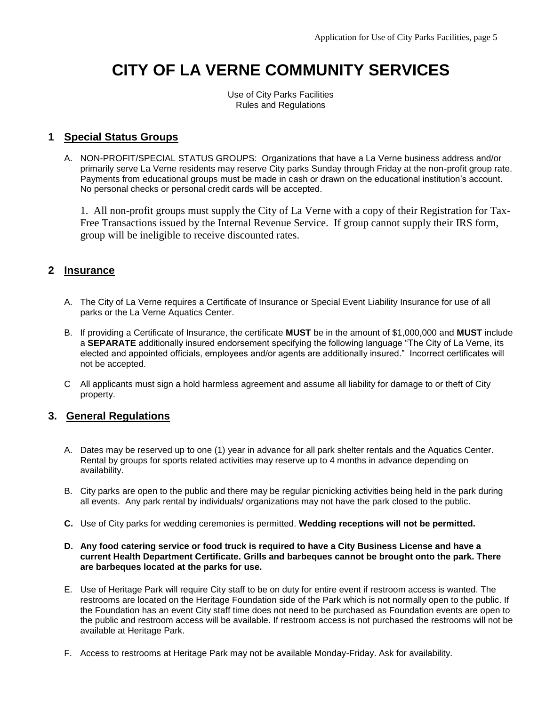# **CITY OF LA VERNE COMMUNITY SERVICES**

Use of City Parks Facilities Rules and Regulations

### **1 Special Status Groups**

A. NON-PROFIT/SPECIAL STATUS GROUPS: Organizations that have a La Verne business address and/or primarily serve La Verne residents may reserve City parks Sunday through Friday at the non-profit group rate. Payments from educational groups must be made in cash or drawn on the educational institution's account. No personal checks or personal credit cards will be accepted.

 1. All non-profit groups must supply the City of La Verne with a copy of their Registration for Tax-Free Transactions issued by the Internal Revenue Service. If group cannot supply their IRS form, group will be ineligible to receive discounted rates.

### **2 Insurance**

- A. The City of La Verne requires a Certificate of Insurance or Special Event Liability Insurance for use of all parks or the La Verne Aquatics Center.
- B. If providing a Certificate of Insurance, the certificate **MUST** be in the amount of \$1,000,000 and **MUST** include a **SEPARATE** additionally insured endorsement specifying the following language "The City of La Verne, its elected and appointed officials, employees and/or agents are additionally insured." Incorrect certificates will not be accepted.
- C All applicants must sign a hold harmless agreement and assume all liability for damage to or theft of City property.

### **3. General Regulations**

- A. Dates may be reserved up to one (1) year in advance for all park shelter rentals and the Aquatics Center. Rental by groups for sports related activities may reserve up to 4 months in advance depending on availability.
- B. City parks are open to the public and there may be regular picnicking activities being held in the park during all events. Any park rental by individuals/ organizations may not have the park closed to the public.
- **C.** Use of City parks for wedding ceremonies is permitted. **Wedding receptions will not be permitted.**
- **D. Any food catering service or food truck is required to have a City Business License and have a current Health Department Certificate. Grills and barbeques cannot be brought onto the park. There are barbeques located at the parks for use.**
- E. Use of Heritage Park will require City staff to be on duty for entire event if restroom access is wanted. The restrooms are located on the Heritage Foundation side of the Park which is not normally open to the public. If the Foundation has an event City staff time does not need to be purchased as Foundation events are open to the public and restroom access will be available. If restroom access is not purchased the restrooms will not be available at Heritage Park.
- F. Access to restrooms at Heritage Park may not be available Monday-Friday. Ask for availability.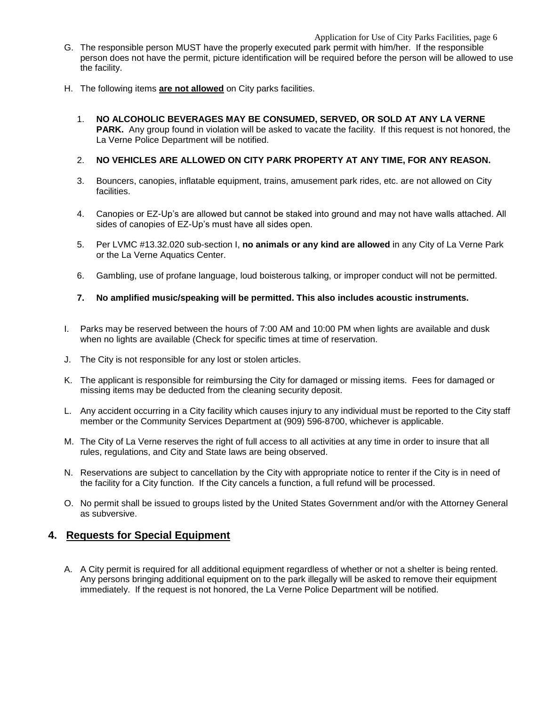#### Application for Use of City Parks Facilities, page 6

- G. The responsible person MUST have the properly executed park permit with him/her. If the responsible person does not have the permit, picture identification will be required before the person will be allowed to use the facility.
- H. The following items **are not allowed** on City parks facilities.
	- 1. **NO ALCOHOLIC BEVERAGES MAY BE CONSUMED, SERVED, OR SOLD AT ANY LA VERNE PARK.** Any group found in violation will be asked to vacate the facility. If this request is not honored, the La Verne Police Department will be notified.

#### 2. **NO VEHICLES ARE ALLOWED ON CITY PARK PROPERTY AT ANY TIME, FOR ANY REASON.**

- 3. Bouncers, canopies, inflatable equipment, trains, amusement park rides, etc. are not allowed on City facilities.
- 4. Canopies or EZ-Up's are allowed but cannot be staked into ground and may not have walls attached. All sides of canopies of EZ-Up's must have all sides open.
- 5. Per LVMC #13.32.020 sub-section I, **no animals or any kind are allowed** in any City of La Verne Park or the La Verne Aquatics Center.
- 6. Gambling, use of profane language, loud boisterous talking, or improper conduct will not be permitted.

#### **7. No amplified music/speaking will be permitted. This also includes acoustic instruments.**

- I. Parks may be reserved between the hours of 7:00 AM and 10:00 PM when lights are available and dusk when no lights are available (Check for specific times at time of reservation.
- J. The City is not responsible for any lost or stolen articles.
- K. The applicant is responsible for reimbursing the City for damaged or missing items. Fees for damaged or missing items may be deducted from the cleaning security deposit.
- L. Any accident occurring in a City facility which causes injury to any individual must be reported to the City staff member or the Community Services Department at (909) 596-8700, whichever is applicable.
- M. The City of La Verne reserves the right of full access to all activities at any time in order to insure that all rules, regulations, and City and State laws are being observed.
- N. Reservations are subject to cancellation by the City with appropriate notice to renter if the City is in need of the facility for a City function. If the City cancels a function, a full refund will be processed.
- O. No permit shall be issued to groups listed by the United States Government and/or with the Attorney General as subversive.

#### **4. Requests for Special Equipment**

A. A City permit is required for all additional equipment regardless of whether or not a shelter is being rented. Any persons bringing additional equipment on to the park illegally will be asked to remove their equipment immediately. If the request is not honored, the La Verne Police Department will be notified.